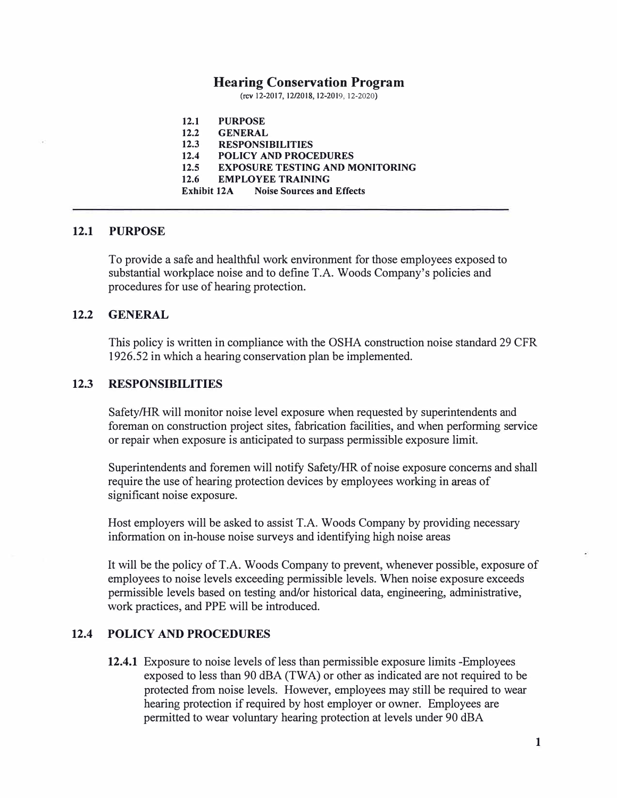#### **Hearing Conservation Program**

(rev 12-2017, 12/2018, 12-2019, 12-2020)

**12.1 PURPOSE 12.2 GENERAL 12.3 RESPONSIBILITIES 12.4 POLICY AND PROCEDURES 12.5 EXPOSURE TESTING AND MONITORING 12.6 EMPLOYEE TRAINING Exhibit 12A Noise Sources and Effects** 

#### **12.1 PURPOSE**

To provide a safe and healthful work environment for those employees exposed to substantial workplace noise and to define T.A. Woods Company's policies and procedures for use of hearing protection.

#### **12.2 GENERAL**

This policy is written in compliance with the OSHA construction noise standard 29 CFR 1926.52 in which a hearing conservation plan be implemented.

#### **12.3 RESPONSIBILITIES**

Safety/HR will monitor noise level exposure when requested by superintendents and foreman on construction project sites, fabrication facilities, and when performing service or repair when exposure is anticipated to surpass permissible exposure limit.

Superintendents and foremen will notify Safety/HR of noise exposure concerns and shall require the use of hearing protection devices by employees working in areas of significant noise exposure.

Host employers will be asked to assist T.A. Woods Company by providing necessary information on in-house noise surveys and identifying high noise areas

It will be the policy ofT.A. Woods Company to prevent, whenever possible, exposure of employees to noise levels exceeding permissible levels. When noise exposure exceeds permissible levels based on testing and/or historical data, engineering, administrative, work practices, and PPE will be introduced.

# **12.4 POLICY AND PROCEDURES**

**12.4.1** Exposure to noise levels of less than permissible exposure limits -Employees exposed to less than 90 dBA (TWA) or other as indicated are not required to be protected from noise levels. However, employees may still be required to wear hearing protection if required by host employer or owner. Employees are permitted to wear voluntary hearing protection at levels under 90 dBA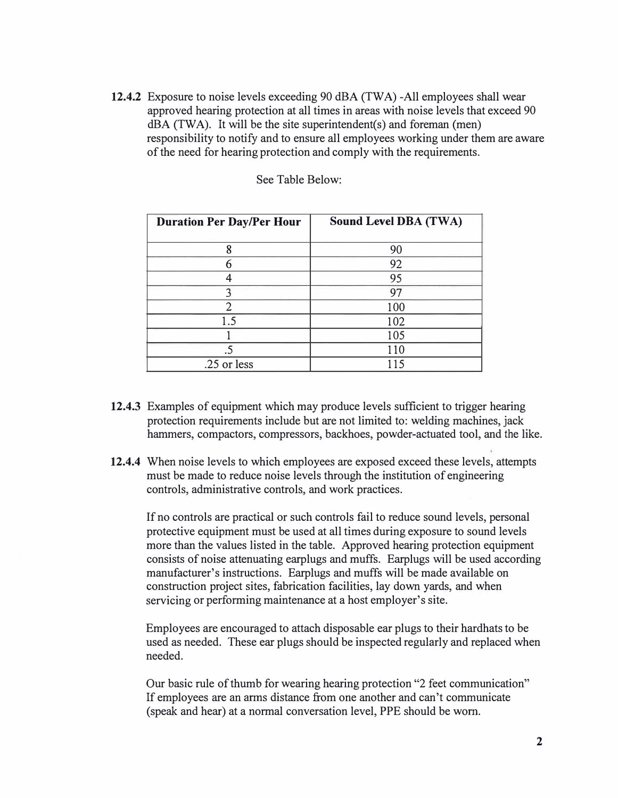**12.4.2** Exposure to noise levels exceeding 90 dBA (TWA) -All employees shall wear approved hearing protection at all times in areas with noise levels that exceed 90 dBA (TWA). It will be the site superintendent(s) and foreman (men) responsibility to notify and to ensure all employees working under them are aware of the need for hearing protection and comply with the requirements.

| <b>Duration Per Day/Per Hour</b> | <b>Sound Level DBA (TWA)</b> |
|----------------------------------|------------------------------|
| 8                                | 90                           |
| 6                                | 92                           |
|                                  | 95                           |
| 3                                | 97                           |
|                                  | 100                          |
| 1.5                              | 102                          |
|                                  | 105                          |
|                                  | 110                          |
| .25 or less                      | 115                          |

See Table Below:

- **12.4.3** Examples of equipment which may produce levels sufficient to trigger hearing protection requirements include but are not limited to: welding machines, jack hammers, compactors, compressors, backhoes, powder-actuated tool, and the like.
- **12.4.4** When noise levels to which employees are exposed exceed these levels, attempts must be made to reduce noise levels through the institution of engineering controls, administrative controls, and work practices.

If no controls are practical or such controls fail to reduce sound levels, personal protective equipment must be used at all times during exposure to sound levels more than the values listed in the table. Approved hearing protection equipment consists of noise attenuating earplugs and muffs. Earplugs will be used according manufacturer's instructions. Earplugs and muffs will be made available on construction project sites, fabrication facilities, lay down yards, and when servicing or performing maintenance at a host employer's site.

Employees are encouraged to attach disposable ear plugs to their hardhats to be used as needed. These ear plugs should be inspected regularly and replaced when needed.

Our basic rule of thumb for wearing hearing protection "2 feet communication" If employees are an arms distance from one another and can't communicate (speak and hear) at a normal conversation level, PPE should be worn.